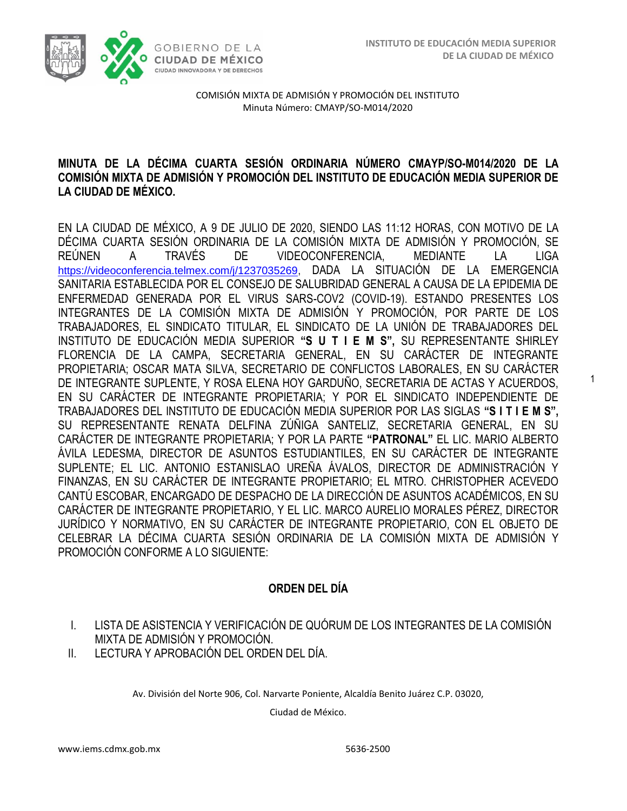1



COMISIÓN MIXTA DE ADMISIÓN Y PROMOCIÓN DEL INSTITUTO Minuta Número: CMAYP/SO-M014/2020

## **MINUTA DE LA DÉCIMA CUARTA SESIÓN ORDINARIA NÚMERO CMAYP/SO-M014/2020 DE LA COMISIÓN MIXTA DE ADMISIÓN Y PROMOCIÓN DEL INSTITUTO DE EDUCACIÓN MEDIA SUPERIOR DE LA CIUDAD DE MÉXICO.**

EN LA CIUDAD DE MÉXICO, A 9 DE JULIO DE 2020, SIENDO LAS 11:12 HORAS, CON MOTIVO DE LA DÉCIMA CUARTA SESIÓN ORDINARIA DE LA COMISIÓN MIXTA DE ADMISIÓN Y PROMOCIÓN, SE REÚNEN A TRAVÉS DE VIDEOCONFERENCIA, MEDIANTE LA LIGA [https://videoconferencia.telmex.com/j/1237035269,](https://videoconferencia.telmex.com/j/1237035269) DADA LA SITUACIÓN DE LA EMERGENCIA SANITARIA ESTABLECIDA POR EL CONSEJO DE SALUBRIDAD GENERAL A CAUSA DE LA EPIDEMIA DE ENFERMEDAD GENERADA POR EL VIRUS SARS-COV2 (COVID-19). ESTANDO PRESENTES LOS INTEGRANTES DE LA COMISIÓN MIXTA DE ADMISIÓN Y PROMOCIÓN, POR PARTE DE LOS TRABAJADORES, EL SINDICATO TITULAR, EL SINDICATO DE LA UNIÓN DE TRABAJADORES DEL INSTITUTO DE EDUCACIÓN MEDIA SUPERIOR **"S U T I E M S",** SU REPRESENTANTE SHIRLEY FLORENCIA DE LA CAMPA, SECRETARIA GENERAL, EN SU CARÁCTER DE INTEGRANTE PROPIETARIA; OSCAR MATA SILVA, SECRETARIO DE CONFLICTOS LABORALES, EN SU CARÁCTER DE INTEGRANTE SUPLENTE, Y ROSA ELENA HOY GARDUÑO, SECRETARIA DE ACTAS Y ACUERDOS, EN SU CARÁCTER DE INTEGRANTE PROPIETARIA; Y POR EL SINDICATO INDEPENDIENTE DE TRABAJADORES DEL INSTITUTO DE EDUCACIÓN MEDIA SUPERIOR POR LAS SIGLAS **"S I T I E M S",**  SU REPRESENTANTE RENATA DELFINA ZÚÑIGA SANTELIZ, SECRETARIA GENERAL, EN SU CARÁCTER DE INTEGRANTE PROPIETARIA; Y POR LA PARTE **"PATRONAL"** EL LIC. MARIO ALBERTO ÁVILA LEDESMA, DIRECTOR DE ASUNTOS ESTUDIANTILES, EN SU CARÁCTER DE INTEGRANTE SUPLENTE; EL LIC. ANTONIO ESTANISLAO UREÑA ÁVALOS, DIRECTOR DE ADMINISTRACIÓN Y FINANZAS, EN SU CARÁCTER DE INTEGRANTE PROPIETARIO; EL MTRO. CHRISTOPHER ACEVEDO CANTÚ ESCOBAR, ENCARGADO DE DESPACHO DE LA DIRECCIÓN DE ASUNTOS ACADÉMICOS, EN SU CARÁCTER DE INTEGRANTE PROPIETARIO, Y EL LIC. MARCO AURELIO MORALES PÉREZ, DIRECTOR JURÍDICO Y NORMATIVO, EN SU CARÁCTER DE INTEGRANTE PROPIETARIO, CON EL OBJETO DE CELEBRAR LA DÉCIMA CUARTA SESIÓN ORDINARIA DE LA COMISIÓN MIXTA DE ADMISIÓN Y PROMOCIÓN CONFORME A LO SIGUIENTE:

## **ORDEN DEL DÍA**

- I. LISTA DE ASISTENCIA Y VERIFICACIÓN DE QUÓRUM DE LOS INTEGRANTES DE LA COMISIÓN MIXTA DE ADMISIÓN Y PROMOCIÓN.
- II. LECTURA Y APROBACIÓN DEL ORDEN DEL DÍA.

Av. División del Norte 906, Col. Narvarte Poniente, Alcaldía Benito Juárez C.P. 03020,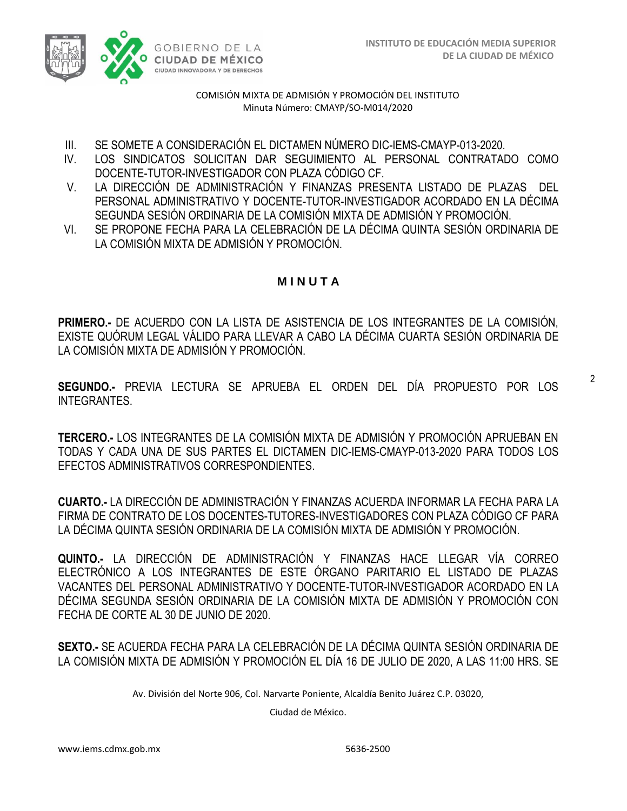

- III. SE SOMETE A CONSIDERACIÓN EL DICTAMEN NÚMERO DIC-IEMS-CMAYP-013-2020.
- IV. LOS SINDICATOS SOLICITAN DAR SEGUIMIENTO AL PERSONAL CONTRATADO COMO DOCENTE-TUTOR-INVESTIGADOR CON PLAZA CÓDIGO CF.
- V. LA DIRECCIÓN DE ADMINISTRACIÓN Y FINANZAS PRESENTA LISTADO DE PLAZAS DEL PERSONAL ADMINISTRATIVO Y DOCENTE-TUTOR-INVESTIGADOR ACORDADO EN LA DÉCIMA SEGUNDA SESIÓN ORDINARIA DE LA COMISIÓN MIXTA DE ADMISIÓN Y PROMOCIÓN.
- VI. SE PROPONE FECHA PARA LA CELEBRACIÓN DE LA DÉCIMA QUINTA SESIÓN ORDINARIA DE LA COMISIÓN MIXTA DE ADMISIÓN Y PROMOCIÓN.

## **M I N U T A**

**PRIMERO.-** DE ACUERDO CON LA LISTA DE ASISTENCIA DE LOS INTEGRANTES DE LA COMISIÓN, EXISTE QUÓRUM LEGAL VÁLIDO PARA LLEVAR A CABO LA DÉCIMA CUARTA SESIÓN ORDINARIA DE LA COMISIÓN MIXTA DE ADMISIÓN Y PROMOCIÓN.

**SEGUNDO.-** PREVIA LECTURA SE APRUEBA EL ORDEN DEL DÍA PROPUESTO POR LOS INTEGRANTES.

**TERCERO.-** LOS INTEGRANTES DE LA COMISIÓN MIXTA DE ADMISIÓN Y PROMOCIÓN APRUEBAN EN TODAS Y CADA UNA DE SUS PARTES EL DICTAMEN DIC-IEMS-CMAYP-013-2020 PARA TODOS LOS EFECTOS ADMINISTRATIVOS CORRESPONDIENTES.

**CUARTO.-** LA DIRECCIÓN DE ADMINISTRACIÓN Y FINANZAS ACUERDA INFORMAR LA FECHA PARA LA FIRMA DE CONTRATO DE LOS DOCENTES-TUTORES-INVESTIGADORES CON PLAZA CÓDIGO CF PARA LA DÉCIMA QUINTA SESIÓN ORDINARIA DE LA COMISIÓN MIXTA DE ADMISIÓN Y PROMOCIÓN.

**QUINTO.-** LA DIRECCIÓN DE ADMINISTRACIÓN Y FINANZAS HACE LLEGAR VÍA CORREO ELECTRÓNICO A LOS INTEGRANTES DE ESTE ÓRGANO PARITARIO EL LISTADO DE PLAZAS VACANTES DEL PERSONAL ADMINISTRATIVO Y DOCENTE-TUTOR-INVESTIGADOR ACORDADO EN LA DÉCIMA SEGUNDA SESIÓN ORDINARIA DE LA COMISIÓN MIXTA DE ADMISIÓN Y PROMOCIÓN CON FECHA DE CORTE AL 30 DE JUNIO DE 2020.

**SEXTO.-** SE ACUERDA FECHA PARA LA CELEBRACIÓN DE LA DÉCIMA QUINTA SESIÓN ORDINARIA DE LA COMISIÓN MIXTA DE ADMISIÓN Y PROMOCIÓN EL DÍA 16 DE JULIO DE 2020, A LAS 11:00 HRS. SE

Av. División del Norte 906, Col. Narvarte Poniente, Alcaldía Benito Juárez C.P. 03020,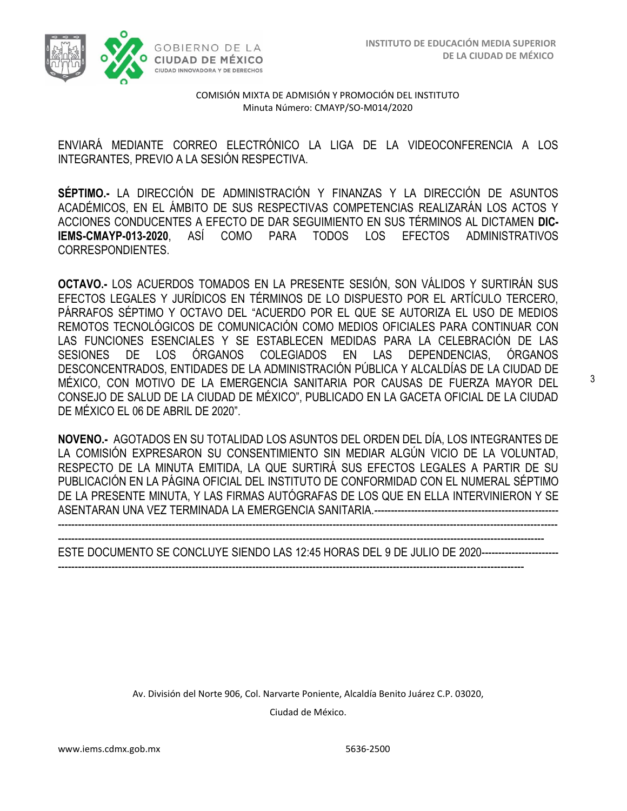

ENVIARÁ MEDIANTE CORREO ELECTRÓNICO LA LIGA DE LA VIDEOCONFERENCIA A LOS INTEGRANTES, PREVIO A LA SESIÓN RESPECTIVA.

**SÉPTIMO.-** LA DIRECCIÓN DE ADMINISTRACIÓN Y FINANZAS Y LA DIRECCIÓN DE ASUNTOS ACADÉMICOS, EN EL ÁMBITO DE SUS RESPECTIVAS COMPETENCIAS REALIZARÁN LOS ACTOS Y ACCIONES CONDUCENTES A EFECTO DE DAR SEGUIMIENTO EN SUS TÉRMINOS AL DICTAMEN **DIC-IEMS-CMAYP-013-2020**, ASÍ COMO PARA TODOS LOS EFECTOS ADMINISTRATIVOS CORRESPONDIENTES.

**OCTAVO.-** LOS ACUERDOS TOMADOS EN LA PRESENTE SESIÓN, SON VÁLIDOS Y SURTIRÁN SUS EFECTOS LEGALES Y JURÍDICOS EN TÉRMINOS DE LO DISPUESTO POR EL ARTÍCULO TERCERO, PÁRRAFOS SÉPTIMO Y OCTAVO DEL "ACUERDO POR EL QUE SE AUTORIZA EL USO DE MEDIOS REMOTOS TECNOLÓGICOS DE COMUNICACIÓN COMO MEDIOS OFICIALES PARA CONTINUAR CON LAS FUNCIONES ESENCIALES Y SE ESTABLECEN MEDIDAS PARA LA CELEBRACIÓN DE LAS SESIONES DE LOS ÓRGANOS COLEGIADOS EN LAS DEPENDENCIAS, ÓRGANOS DESCONCENTRADOS, ENTIDADES DE LA ADMINISTRACIÓN PÚBLICA Y ALCALDÍAS DE LA CIUDAD DE MÉXICO, CON MOTIVO DE LA EMERGENCIA SANITARIA POR CAUSAS DE FUERZA MAYOR DEL CONSEJO DE SALUD DE LA CIUDAD DE MÉXICO", PUBLICADO EN LA GACETA OFICIAL DE LA CIUDAD DE MÉXICO EL 06 DE ABRIL DE 2020".

**NOVENO.-** AGOTADOS EN SU TOTALIDAD LOS ASUNTOS DEL ORDEN DEL DÍA, LOS INTEGRANTES DE LA COMISIÓN EXPRESARON SU CONSENTIMIENTO SIN MEDIAR ALGÚN VICIO DE LA VOLUNTAD, RESPECTO DE LA MINUTA EMITIDA, LA QUE SURTIRÁ SUS EFECTOS LEGALES A PARTIR DE SU PUBLICACIÓN EN LA PÁGINA OFICIAL DEL INSTITUTO DE CONFORMIDAD CON EL NUMERAL SÉPTIMO DE LA PRESENTE MINUTA, Y LAS FIRMAS AUTÓGRAFAS DE LOS QUE EN ELLA INTERVINIERON Y SE ASENTARAN UNA VEZ TERMINADA LA EMERGENCIA SANITARIA.-------------------------------------------------------

----------------------------------------------------------------------------------------------------------------------------------------------------- -------------------------------------------------------------------------------------------------------------------------------------------------

ESTE DOCUMENTO SE CONCLUYE SIENDO LAS 12:45 HORAS DEL 9 DE JULIO DE 2020----------------------------------------------------------------------------------------------------------------------------------------------------

Av. División del Norte 906, Col. Narvarte Poniente, Alcaldía Benito Juárez C.P. 03020,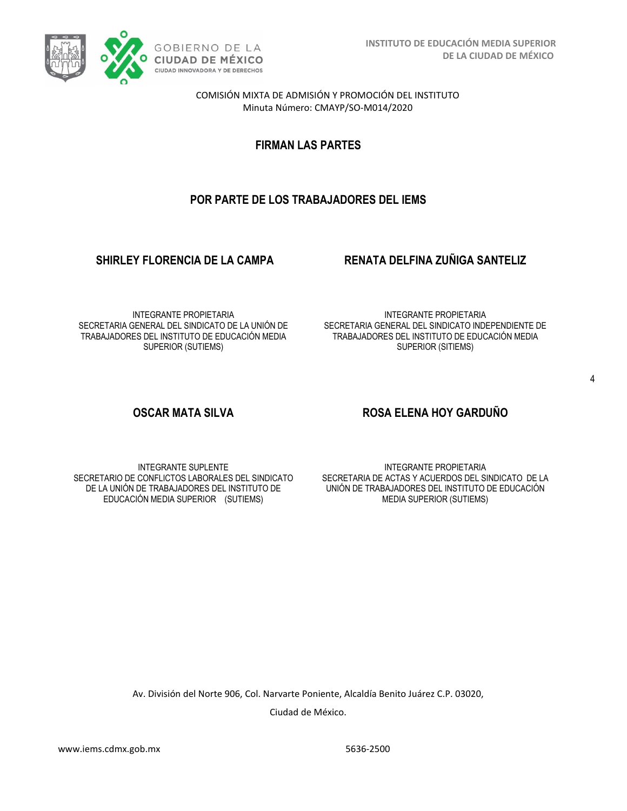

**FIRMAN LAS PARTES**

# **POR PARTE DE LOS TRABAJADORES DEL IEMS**

### **SHIRLEY FLORENCIA DE LA CAMPA RENATA DELFINA ZUÑIGA SANTELIZ**

INTEGRANTE PROPIETARIA SECRETARIA GENERAL DEL SINDICATO DE LA UNIÓN DE TRABAJADORES DEL INSTITUTO DE EDUCACIÓN MEDIA SUPERIOR (SUTIEMS)

INTEGRANTE PROPIETARIA SECRETARIA GENERAL DEL SINDICATO INDEPENDIENTE DE TRABAJADORES DEL INSTITUTO DE EDUCACIÓN MEDIA SUPERIOR (SITIEMS)

## **OSCAR MATA SILVA ROSA ELENA HOY GARDUÑO**

INTEGRANTE SUPLENTE SECRETARIO DE CONFLICTOS LABORALES DEL SINDICATO DE LA UNIÓN DE TRABAJADORES DEL INSTITUTO DE EDUCACIÓN MEDIA SUPERIOR (SUTIEMS)

INTEGRANTE PROPIETARIA SECRETARIA DE ACTAS Y ACUERDOS DEL SINDICATO DE LA UNIÓN DE TRABAJADORES DEL INSTITUTO DE EDUCACIÓN MEDIA SUPERIOR (SUTIEMS)

Av. División del Norte 906, Col. Narvarte Poniente, Alcaldía Benito Juárez C.P. 03020,